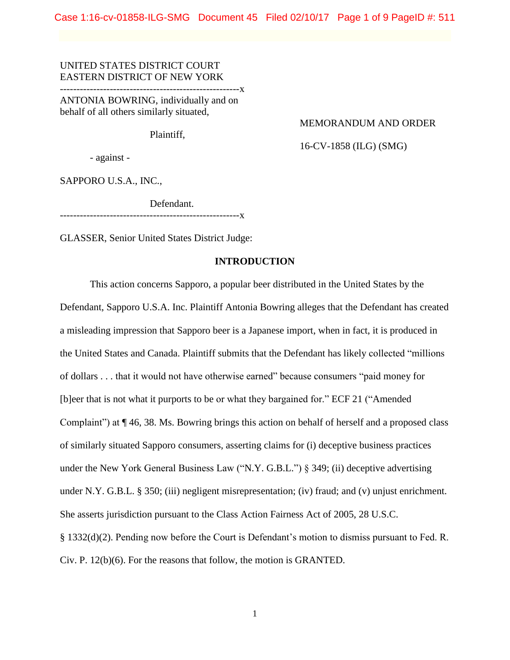Case 1:16-cv-01858-ILG-SMG Document 45 Filed 02/10/17 Page 1 of 9 PageID #: 511

# UNITED STATES DISTRICT COURT EASTERN DISTRICT OF NEW YORK

------------------------------------------------------x

ANTONIA BOWRING, individually and on behalf of all others similarly situated,

Plaintiff,

### MEMORANDUM AND ORDER

16-CV-1858 (ILG) (SMG)

- against -

SAPPORO U.S.A., INC.,

Defendant.

--------------X

GLASSER, Senior United States District Judge:

## **INTRODUCTION**

This action concerns Sapporo, a popular beer distributed in the United States by the Defendant, Sapporo U.S.A. Inc. Plaintiff Antonia Bowring alleges that the Defendant has created a misleading impression that Sapporo beer is a Japanese import, when in fact, it is produced in the United States and Canada. Plaintiff submits that the Defendant has likely collected "millions of dollars . . . that it would not have otherwise earned" because consumers "paid money for [b]eer that is not what it purports to be or what they bargained for." ECF 21 ("Amended Complaint") at ¶ 46, 38. Ms. Bowring brings this action on behalf of herself and a proposed class of similarly situated Sapporo consumers, asserting claims for (i) deceptive business practices under the New York General Business Law ("N.Y. G.B.L.") § 349; (ii) deceptive advertising under N.Y. G.B.L. § 350; (iii) negligent misrepresentation; (iv) fraud; and (v) unjust enrichment. She asserts jurisdiction pursuant to the Class Action Fairness Act of 2005, 28 U.S.C. § 1332(d)(2). Pending now before the Court is Defendant's motion to dismiss pursuant to Fed. R. Civ. P. 12(b)(6). For the reasons that follow, the motion is GRANTED.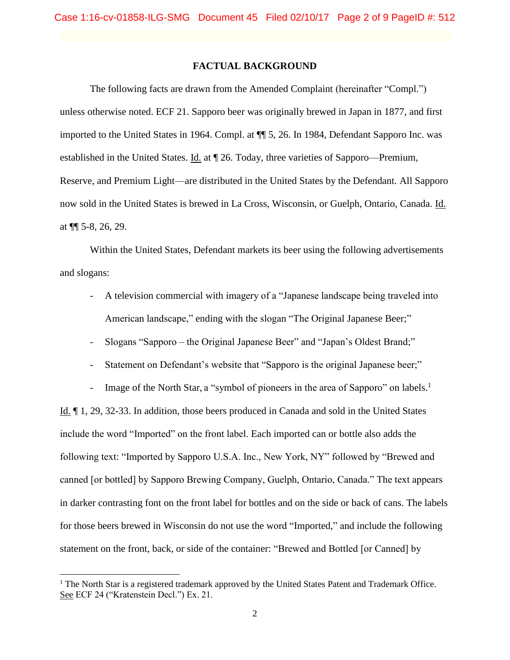## **FACTUAL BACKGROUND**

The following facts are drawn from the Amended Complaint (hereinafter "Compl.") unless otherwise noted. ECF 21. Sapporo beer was originally brewed in Japan in 1877, and first imported to the United States in 1964. Compl. at ¶¶ 5, 26. In 1984, Defendant Sapporo Inc. was established in the United States. Id. at ¶ 26. Today, three varieties of Sapporo—Premium, Reserve, and Premium Light—are distributed in the United States by the Defendant. All Sapporo now sold in the United States is brewed in La Cross, Wisconsin, or Guelph, Ontario, Canada. Id. at ¶¶ 5-8, 26, 29.

Within the United States, Defendant markets its beer using the following advertisements and slogans:

- A television commercial with imagery of a "Japanese landscape being traveled into American landscape," ending with the slogan "The Original Japanese Beer;"
- Slogans "Sapporo the Original Japanese Beer" and "Japan's Oldest Brand;"
- Statement on Defendant's website that "Sapporo is the original Japanese beer;"

- Image of the North Star, a "symbol of pioneers in the area of Sapporo" on labels.<sup>1</sup> Id. ¶ 1, 29, 32-33. In addition, those beers produced in Canada and sold in the United States include the word "Imported" on the front label. Each imported can or bottle also adds the following text: "Imported by Sapporo U.S.A. Inc., New York, NY" followed by "Brewed and canned [or bottled] by Sapporo Brewing Company, Guelph, Ontario, Canada." The text appears in darker contrasting font on the front label for bottles and on the side or back of cans. The labels for those beers brewed in Wisconsin do not use the word "Imported," and include the following statement on the front, back, or side of the container: "Brewed and Bottled [or Canned] by

 $\overline{\phantom{a}}$ 

<sup>&</sup>lt;sup>1</sup> The North Star is a registered trademark approved by the United States Patent and Trademark Office. See ECF 24 ("Kratenstein Decl.") Ex. 21.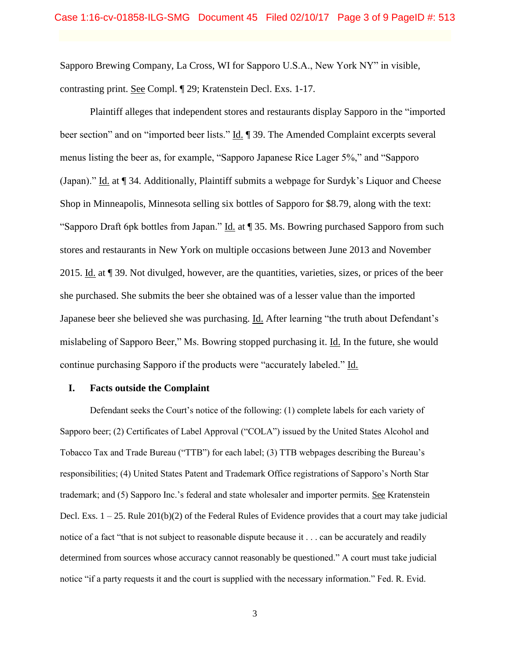Sapporo Brewing Company, La Cross, WI for Sapporo U.S.A., New York NY" in visible, contrasting print. See Compl. ¶ 29; Kratenstein Decl. Exs. 1-17.

Plaintiff alleges that independent stores and restaurants display Sapporo in the "imported beer section" and on "imported beer lists." Id. ¶ 39. The Amended Complaint excerpts several menus listing the beer as, for example, "Sapporo Japanese Rice Lager 5%," and "Sapporo (Japan)." Id. at ¶ 34. Additionally, Plaintiff submits a webpage for Surdyk's Liquor and Cheese Shop in Minneapolis, Minnesota selling six bottles of Sapporo for \$8.79, along with the text: "Sapporo Draft 6pk bottles from Japan." Id. at ¶ 35. Ms. Bowring purchased Sapporo from such stores and restaurants in New York on multiple occasions between June 2013 and November 2015. Id. at ¶ 39. Not divulged, however, are the quantities, varieties, sizes, or prices of the beer she purchased. She submits the beer she obtained was of a lesser value than the imported Japanese beer she believed she was purchasing. Id. After learning "the truth about Defendant's mislabeling of Sapporo Beer," Ms. Bowring stopped purchasing it. Id. In the future, she would continue purchasing Sapporo if the products were "accurately labeled." Id.

### **I. Facts outside the Complaint**

Defendant seeks the Court's notice of the following: (1) complete labels for each variety of Sapporo beer; (2) Certificates of Label Approval ("COLA") issued by the United States Alcohol and Tobacco Tax and Trade Bureau ("TTB") for each label; (3) TTB webpages describing the Bureau's responsibilities; (4) United States Patent and Trademark Office registrations of Sapporo's North Star trademark; and (5) Sapporo Inc.'s federal and state wholesaler and importer permits. See Kratenstein Decl. Exs.  $1 - 25$ . Rule  $201(b)(2)$  of the Federal Rules of Evidence provides that a court may take judicial notice of a fact "that is not subject to reasonable dispute because it . . . can be accurately and readily determined from sources whose accuracy cannot reasonably be questioned." A court must take judicial notice "if a party requests it and the court is supplied with the necessary information." Fed. R. Evid.

3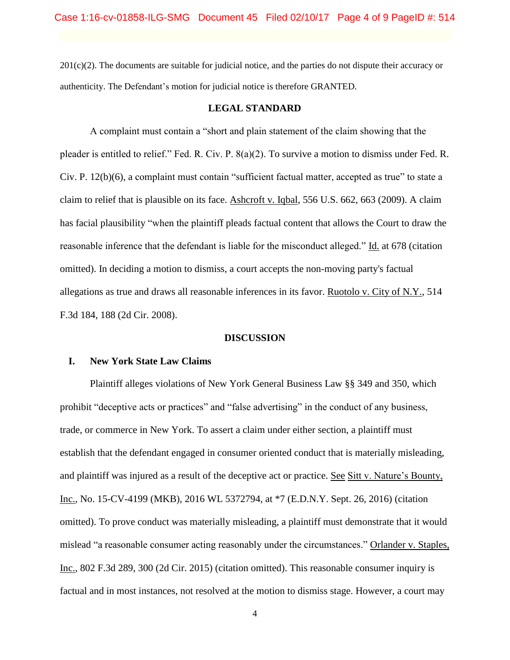201(c)(2). The documents are suitable for judicial notice, and the parties do not dispute their accuracy or authenticity. The Defendant's motion for judicial notice is therefore GRANTED.

### **LEGAL STANDARD**

A complaint must contain a "short and plain statement of the claim showing that the pleader is entitled to relief." Fed. R. Civ. P. 8(a)(2). To survive a motion to dismiss under Fed. R. Civ. P. 12(b)(6), a complaint must contain "sufficient factual matter, accepted as true" to state a claim to relief that is plausible on its face. Ashcroft v. Iqbal, 556 U.S. 662, 663 (2009). A claim has facial plausibility "when the plaintiff pleads factual content that allows the Court to draw the reasonable inference that the defendant is liable for the misconduct alleged." Id. at 678 (citation omitted). In deciding a motion to dismiss, a court accepts the non-moving party's factual allegations as true and draws all reasonable inferences in its favor. Ruotolo v. City of N.Y., 514 F.3d 184, 188 (2d Cir. 2008).

#### **DISCUSSION**

### **I. New York State Law Claims**

Plaintiff alleges violations of New York General Business Law §§ 349 and 350, which prohibit "deceptive acts or practices" and "false advertising" in the conduct of any business, trade, or commerce in New York. To assert a claim under either section, a plaintiff must establish that the defendant engaged in consumer oriented conduct that is materially misleading, and plaintiff was injured as a result of the deceptive act or practice. See Sitt v. Nature's Bounty, Inc., No. 15-CV-4199 (MKB), 2016 WL 5372794, at \*7 (E.D.N.Y. Sept. 26, 2016) (citation omitted). To prove conduct was materially misleading, a plaintiff must demonstrate that it would mislead "a reasonable consumer acting reasonably under the circumstances." Orlander v. Staples, Inc., 802 F.3d 289, 300 (2d Cir. 2015) (citation omitted). This reasonable consumer inquiry is factual and in most instances, not resolved at the motion to dismiss stage. However, a court may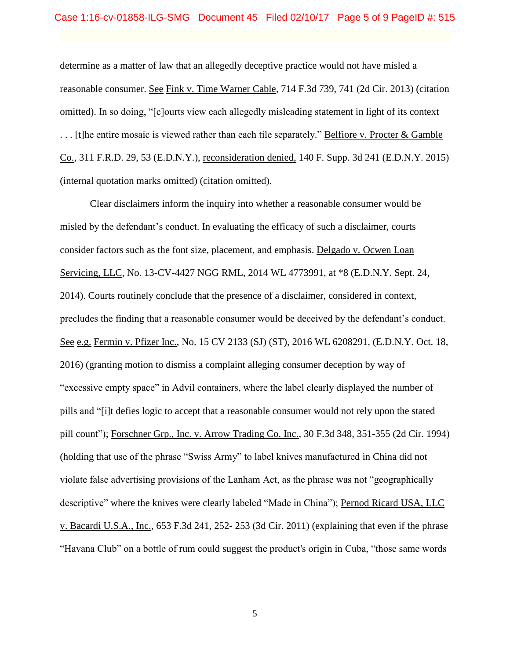determine as a matter of law that an allegedly deceptive practice would not have misled a reasonable consumer. See Fink v. Time Warner Cable, 714 F.3d 739, 741 (2d Cir. 2013) (citation omitted). In so doing, "[c]ourts view each allegedly misleading statement in light of its context . . . [t]he entire mosaic is viewed rather than each tile separately." Belfiore v. Procter & Gamble Co., 311 F.R.D. 29, 53 (E.D.N.Y.), reconsideration denied, 140 F. Supp. 3d 241 (E.D.N.Y. 2015) (internal quotation marks omitted) (citation omitted).

Clear disclaimers inform the inquiry into whether a reasonable consumer would be misled by the defendant's conduct. In evaluating the efficacy of such a disclaimer, courts consider factors such as the font size, placement, and emphasis. Delgado v. Ocwen Loan Servicing, LLC, No. 13-CV-4427 NGG RML, 2014 WL 4773991, at \*8 (E.D.N.Y. Sept. 24, 2014). Courts routinely conclude that the presence of a disclaimer, considered in context, precludes the finding that a reasonable consumer would be deceived by the defendant's conduct. See e.g. Fermin v. Pfizer Inc., No. 15 CV 2133 (SJ) (ST), 2016 WL 6208291, (E.D.N.Y. Oct. 18, 2016) (granting motion to dismiss a complaint alleging consumer deception by way of "excessive empty space" in Advil containers, where the label clearly displayed the number of pills and "[i]t defies logic to accept that a reasonable consumer would not rely upon the stated pill count"); Forschner Grp., Inc. v. Arrow Trading Co. Inc., 30 F.3d 348, 351-355 (2d Cir. 1994) (holding that use of the phrase "Swiss Army" to label knives manufactured in China did not violate false advertising provisions of the Lanham Act, as the phrase was not "geographically descriptive" where the knives were clearly labeled "Made in China"); Pernod Ricard USA, LLC v. Bacardi U.S.A., Inc., 653 F.3d 241, 252- 253 (3d Cir. 2011) (explaining that even if the phrase "Havana Club" on a bottle of rum could suggest the product's origin in Cuba, "those same words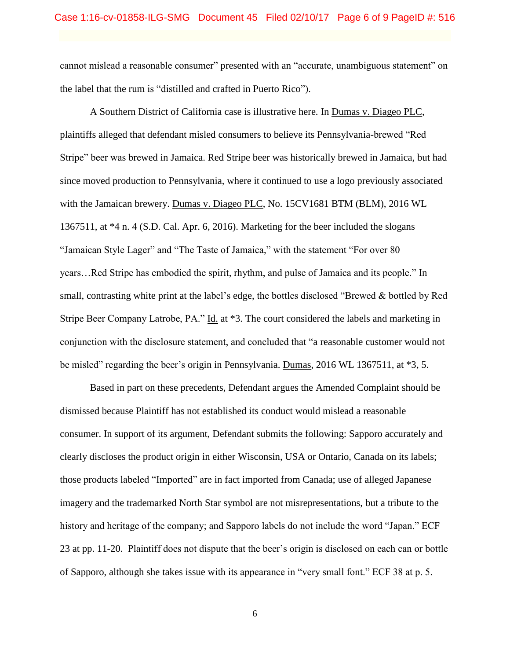cannot mislead a reasonable consumer" presented with an "accurate, unambiguous statement" on the label that the rum is "distilled and crafted in Puerto Rico").

A Southern District of California case is illustrative here. In Dumas v. Diageo PLC, plaintiffs alleged that defendant misled consumers to believe its Pennsylvania-brewed "Red Stripe" beer was brewed in Jamaica. Red Stripe beer was historically brewed in Jamaica, but had since moved production to Pennsylvania, where it continued to use a logo previously associated with the Jamaican brewery. Dumas v. Diageo PLC, No. 15CV1681 BTM (BLM), 2016 WL 1367511, at \*4 n. 4 (S.D. Cal. Apr. 6, 2016). Marketing for the beer included the slogans "Jamaican Style Lager" and "The Taste of Jamaica," with the statement "For over 80 years…Red Stripe has embodied the spirit, rhythm, and pulse of Jamaica and its people." In small, contrasting white print at the label's edge, the bottles disclosed "Brewed & bottled by Red Stripe Beer Company Latrobe, PA." Id. at \*3. The court considered the labels and marketing in conjunction with the disclosure statement, and concluded that "a reasonable customer would not be misled" regarding the beer's origin in Pennsylvania. Dumas, 2016 WL 1367511, at \*3, 5.

Based in part on these precedents, Defendant argues the Amended Complaint should be dismissed because Plaintiff has not established its conduct would mislead a reasonable consumer. In support of its argument, Defendant submits the following: Sapporo accurately and clearly discloses the product origin in either Wisconsin, USA or Ontario, Canada on its labels; those products labeled "Imported" are in fact imported from Canada; use of alleged Japanese imagery and the trademarked North Star symbol are not misrepresentations, but a tribute to the history and heritage of the company; and Sapporo labels do not include the word "Japan." ECF 23 at pp. 11-20. Plaintiff does not dispute that the beer's origin is disclosed on each can or bottle of Sapporo, although she takes issue with its appearance in "very small font." ECF 38 at p. 5.

6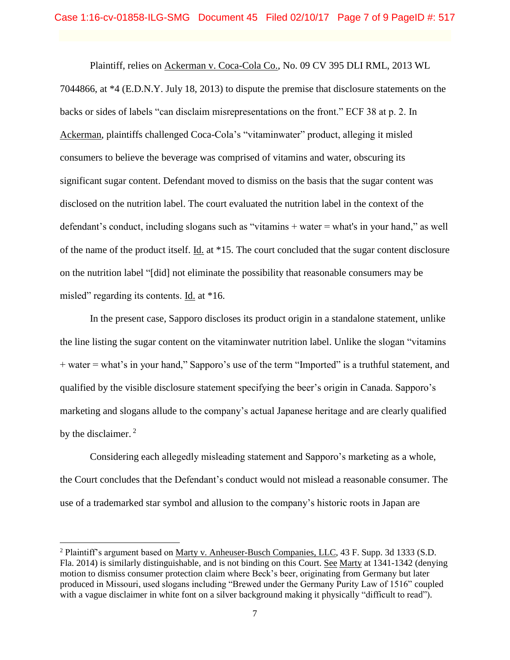Plaintiff, relies on Ackerman v. Coca-Cola Co., No. 09 CV 395 DLI RML, 2013 WL 7044866, at \*4 (E.D.N.Y. July 18, 2013) to dispute the premise that disclosure statements on the backs or sides of labels "can disclaim misrepresentations on the front." ECF 38 at p. 2. In Ackerman, plaintiffs challenged Coca-Cola's "vitaminwater" product, alleging it misled consumers to believe the beverage was comprised of vitamins and water, obscuring its significant sugar content. Defendant moved to dismiss on the basis that the sugar content was disclosed on the nutrition label. The court evaluated the nutrition label in the context of the defendant's conduct, including slogans such as "vitamins + water = what's in your hand," as well of the name of the product itself. Id. at \*15. The court concluded that the sugar content disclosure on the nutrition label "[did] not eliminate the possibility that reasonable consumers may be misled" regarding its contents. Id. at \*16.

In the present case, Sapporo discloses its product origin in a standalone statement, unlike the line listing the sugar content on the vitaminwater nutrition label. Unlike the slogan "vitamins + water = what's in your hand," Sapporo's use of the term "Imported" is a truthful statement, and qualified by the visible disclosure statement specifying the beer's origin in Canada. Sapporo's marketing and slogans allude to the company's actual Japanese heritage and are clearly qualified by the disclaimer.<sup>2</sup>

Considering each allegedly misleading statement and Sapporo's marketing as a whole, the Court concludes that the Defendant's conduct would not mislead a reasonable consumer. The use of a trademarked star symbol and allusion to the company's historic roots in Japan are

 $\overline{\phantom{a}}$ 

<sup>2</sup> Plaintiff's argument based on Marty v. Anheuser-Busch Companies, LLC, 43 F. Supp. 3d 1333 (S.D. Fla. 2014) is similarly distinguishable, and is not binding on this Court. See Marty at 1341-1342 (denying motion to dismiss consumer protection claim where Beck's beer, originating from Germany but later produced in Missouri, used slogans including "Brewed under the Germany Purity Law of 1516" coupled with a vague disclaimer in white font on a silver background making it physically "difficult to read").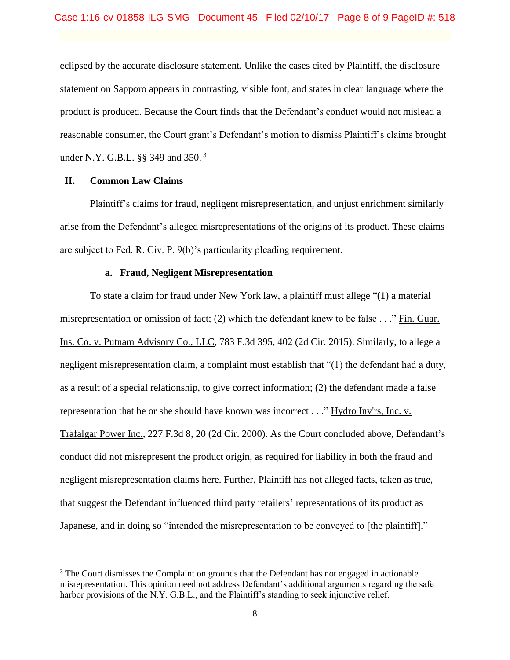eclipsed by the accurate disclosure statement. Unlike the cases cited by Plaintiff, the disclosure statement on Sapporo appears in contrasting, visible font, and states in clear language where the product is produced. Because the Court finds that the Defendant's conduct would not mislead a reasonable consumer, the Court grant's Defendant's motion to dismiss Plaintiff's claims brought under N.Y. G.B.L. §§ 349 and 350.<sup>3</sup>

## **II. Common Law Claims**

 $\overline{a}$ 

Plaintiff's claims for fraud, negligent misrepresentation, and unjust enrichment similarly arise from the Defendant's alleged misrepresentations of the origins of its product. These claims are subject to Fed. R. Civ. P. 9(b)'s particularity pleading requirement.

## **a. Fraud, Negligent Misrepresentation**

To state a claim for fraud under New York law, a plaintiff must allege "(1) a material misrepresentation or omission of fact; (2) which the defendant knew to be false . . ." Fin. Guar. Ins. Co. v. Putnam Advisory Co., LLC, 783 F.3d 395, 402 (2d Cir. 2015). Similarly, to allege a negligent misrepresentation claim, a complaint must establish that "(1) the defendant had a duty, as a result of a special relationship, to give correct information; (2) the defendant made a false representation that he or she should have known was incorrect . . ." Hydro Inv'rs, Inc. v. Trafalgar Power Inc., 227 F.3d 8, 20 (2d Cir. 2000). As the Court concluded above, Defendant's conduct did not misrepresent the product origin, as required for liability in both the fraud and negligent misrepresentation claims here. Further, Plaintiff has not alleged facts, taken as true, that suggest the Defendant influenced third party retailers' representations of its product as Japanese, and in doing so "intended the misrepresentation to be conveyed to [the plaintiff]."

<sup>&</sup>lt;sup>3</sup> The Court dismisses the Complaint on grounds that the Defendant has not engaged in actionable misrepresentation. This opinion need not address Defendant's additional arguments regarding the safe harbor provisions of the N.Y. G.B.L., and the Plaintiff's standing to seek injunctive relief.